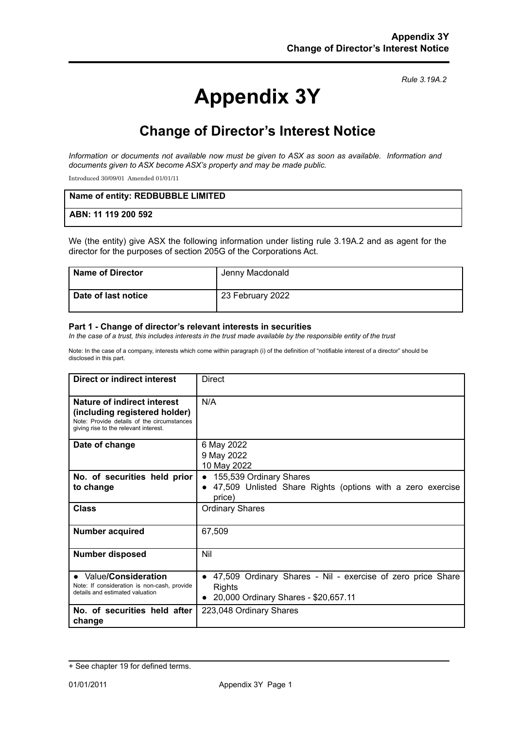*Rule 3.19A.2*

# **Appendix 3Y**

## **Change of Director's Interest Notice**

*Information or documents not available now must be given to ASX as soon as available. Information and documents given to ASX become ASX's property and may be made public.*

Introduced 30/09/01 Amended 01/01/11

| Name of entity: REDBUBBLE LIMITED |  |
|-----------------------------------|--|
| ABN: 11 119 200 592               |  |

We (the entity) give ASX the following information under listing rule 3.19A.2 and as agent for the director for the purposes of section 205G of the Corporations Act.

| <b>Name of Director</b> | Jenny Macdonald  |
|-------------------------|------------------|
| Date of last notice     | 23 February 2022 |

#### **Part 1 - Change of director's relevant interests in securities**

In the case of a trust, this includes interests in the trust made available by the responsible entity of the trust

Note: In the case of a company, interests which come within paragraph (i) of the definition of "notifiable interest of a director" should be disclosed in this part.

| Direct or indirect interest                                                                                                                         | Direct                                                                                                               |
|-----------------------------------------------------------------------------------------------------------------------------------------------------|----------------------------------------------------------------------------------------------------------------------|
| Nature of indirect interest<br>(including registered holder)<br>Note: Provide details of the circumstances<br>giving rise to the relevant interest. | N/A                                                                                                                  |
| Date of change                                                                                                                                      | 6 May 2022<br>9 May 2022<br>10 May 2022                                                                              |
| No. of securities held prior<br>to change                                                                                                           | 155,539 Ordinary Shares<br>47,509 Unlisted Share Rights (options with a zero exercise<br>$\bullet$<br>price)         |
| <b>Class</b>                                                                                                                                        | <b>Ordinary Shares</b>                                                                                               |
| <b>Number acquired</b>                                                                                                                              | 67,509                                                                                                               |
| Number disposed                                                                                                                                     | Nil                                                                                                                  |
| • Value/Consideration<br>Note: If consideration is non-cash, provide<br>details and estimated valuation                                             | 47,509 Ordinary Shares - Nil - exercise of zero price Share<br><b>Rights</b><br>20,000 Ordinary Shares - \$20,657.11 |
| No. of securities held after<br>change                                                                                                              | 223,048 Ordinary Shares                                                                                              |

<sup>+</sup> See chapter 19 for defined terms.